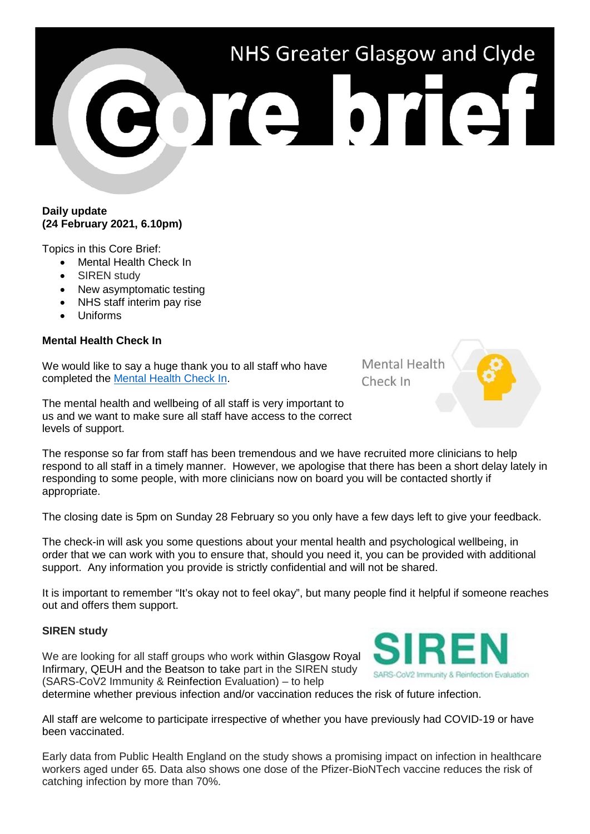# NHS Greater Glasgow and Clyde ore brief

# **Daily update (24 February 2021, 6.10pm)**

Topics in this Core Brief:

- Mental Health Check In
- SIREN study
- New asymptomatic testing
- NHS staff interim pay rise
- Uniforms

# **Mental Health Check In**

We would like to say a huge thank you to all staff who have completed the [Mental Health Check In.](https://www.nhsggc.org.uk/about-us/professional-support-sites/mental-health-check-in/survey/)

The mental health and wellbeing of all staff is very important to us and we want to make sure all staff have access to the correct levels of support.

The response so far from staff has been tremendous and we have recruited more clinicians to help respond to all staff in a timely manner. However, we apologise that there has been a short delay lately in responding to some people, with more clinicians now on board you will be contacted shortly if appropriate.

The closing date is 5pm on Sunday 28 February so you only have a few days left to give your feedback.

The check-in will ask you some questions about your mental health and psychological wellbeing, in order that we can work with you to ensure that, should you need it, you can be provided with additional support. Any information you provide is strictly confidential and will not be shared.

It is important to remember "It's okay not to feel okay", but many people find it helpful if someone reaches out and offers them support.

## **SIREN study**

We are looking for all staff groups who work within Glasgow Royal Infirmary, QEUH and the Beatson to take part in the SIREN study (SARS-CoV2 Immunity & Reinfection Evaluation) – to help

determine whether previous infection and/or vaccination reduces the risk of future infection.

All staff are welcome to participate irrespective of whether you have previously had COVID-19 or have been vaccinated.

Early data from Public Health England on the study shows a promising impact on infection in healthcare workers aged under 65. Data also shows one dose of the Pfizer-BioNTech vaccine reduces the risk of catching infection by more than 70%.



**Mental Health** Check In

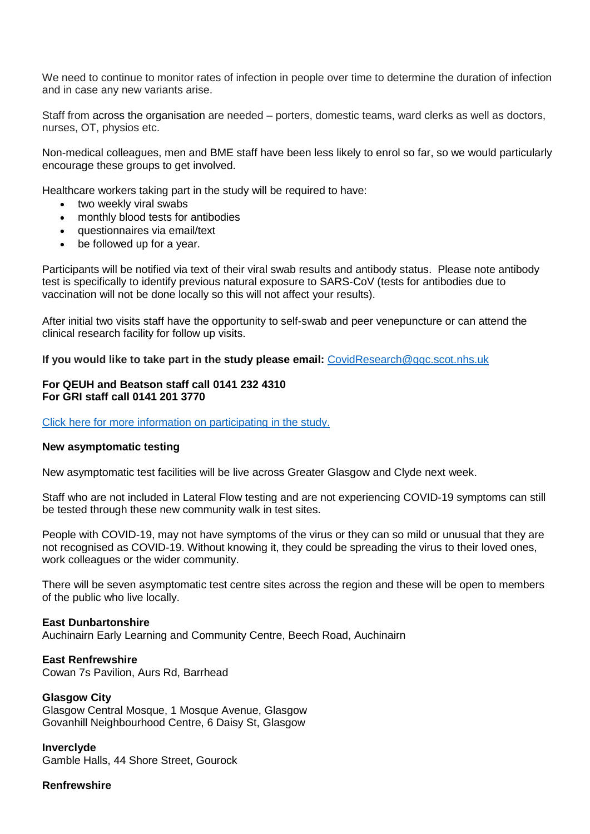We need to continue to monitor rates of infection in people over time to determine the duration of infection and in case any new variants arise.

Staff from across the organisation are needed – porters, domestic teams, ward clerks as well as doctors, nurses, OT, physios etc.

Non-medical colleagues, men and BME staff have been less likely to enrol so far, so we would particularly encourage these groups to get involved.

Healthcare workers taking part in the study will be required to have:

- two weekly viral swabs
- monthly blood tests for antibodies
- questionnaires via email/text
- be followed up for a year.

Participants will be notified via text of their viral swab results and antibody status. Please note antibody test is specifically to identify previous natural exposure to SARS-CoV (tests for antibodies due to vaccination will not be done locally so this will not affect your results).

After initial two visits staff have the opportunity to self-swab and peer venepuncture or can attend the clinical research facility for follow up visits.

**If you would like to take part in the study please email:** [CovidResearch@ggc.scot.nhs.uk](mailto:CovidResearch@ggc.scot.nhs.uk)

## **For QEUH and Beatson staff call 0141 232 4310 For GRI staff call 0141 201 3770**

Click here for more information on [participating](http://www.staffnet.ggc.scot.nhs.uk/Corporate%20Services/Communications/Hot%20Topics/Documents/SIREN%20PIL%20_v4.1_23122020_(Scotland).docx) in the study.

#### **New asymptomatic testing**

New asymptomatic test facilities will be live across Greater Glasgow and Clyde next week.

Staff who are not included in Lateral Flow testing and are not experiencing COVID-19 symptoms can still be tested through these new community walk in test sites.

People with COVID-19, may not have symptoms of the virus or they can so mild or unusual that they are not recognised as COVID-19. Without knowing it, they could be spreading the virus to their loved ones, work colleagues or the wider community.

There will be seven asymptomatic test centre sites across the region and these will be open to members of the public who live locally.

#### **East Dunbartonshire**

Auchinairn Early Learning and Community Centre, Beech Road, Auchinairn

**East Renfrewshire** Cowan 7s Pavilion, Aurs Rd, Barrhead

**Glasgow City** Glasgow Central Mosque, 1 Mosque Avenue, Glasgow Govanhill Neighbourhood Centre, 6 Daisy St, Glasgow

**Inverclyde** Gamble Halls, 44 Shore Street, Gourock

**Renfrewshire**